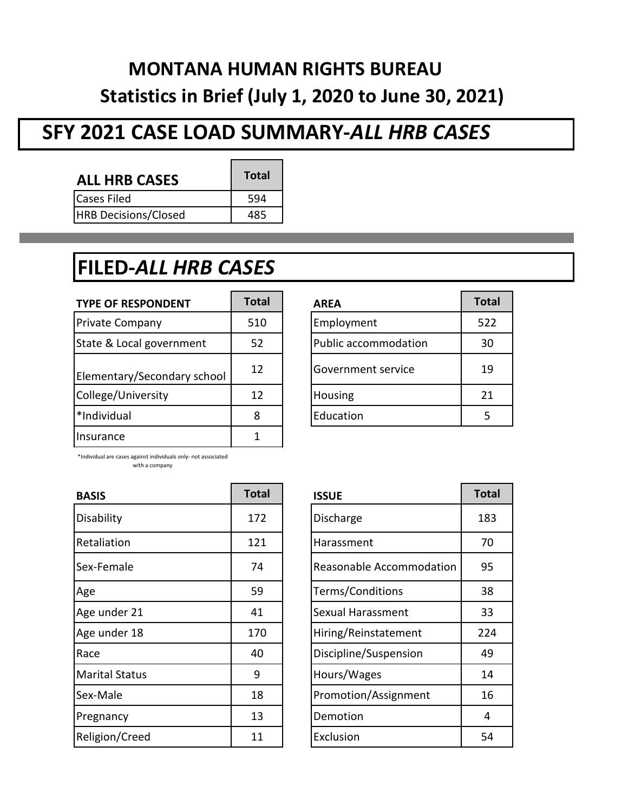# **MONTANA HUMAN RIGHTS BUREAU Statistics in Brief (July 1, 2020 to June 30, 2021)**

## **SFY 2021 CASE LOAD SUMMARY-***ALL HRB CASES*

 $\blacksquare$ 

 $\overline{\phantom{0}}$ 

| <b>ALL HRB CASES</b>        | <b>Total</b> |
|-----------------------------|--------------|
| <b>Cases Filed</b>          | 594          |
| <b>HRB Decisions/Closed</b> |              |

## **FILED-***ALL HRB CASES*

| <b>TYPE OF RESPONDENT</b>   | Total | <b>AREA</b>                 | <b>Total</b> |
|-----------------------------|-------|-----------------------------|--------------|
| Private Company             | 510   | Employment                  | 522          |
| State & Local government    | 52    | <b>Public accommodation</b> | 30           |
| Elementary/Secondary school | 12    | Government service          | 19           |
| College/University          | 12    | Housing                     | 21           |
| *Individual                 | 8     | Education                   |              |
| Insurance                   |       |                             |              |

| <b>AREA</b>          | <b>Total</b> |
|----------------------|--------------|
| Employment           | 522          |
| Public accommodation | 30           |
| Government service   | 19           |
| Housing              | 21           |
| Education            | 5            |

\*Individual are cases against individuals only- not associated with a company

| <b>Total</b> | <b>ISSUE</b>             | Total |
|--------------|--------------------------|-------|
| 172          | Discharge                | 183   |
| 121          | Harassment               | 70    |
| 74           | Reasonable Accommodation | 95    |
| 59           | Terms/Conditions         | 38    |
| 41           | Sexual Harassment        | 33    |
| 170          | Hiring/Reinstatement     | 224   |
| 40           | Discipline/Suspension    | 49    |
| 9            | Hours/Wages              | 14    |
| 18           | Promotion/Assignment     | 16    |
| 13           | Demotion                 | 4     |
| 11           | Exclusion                | 54    |
|              |                          |       |

| <b>ISSUE</b>             | <b>Total</b> |
|--------------------------|--------------|
| Discharge                | 183          |
| Harassment               | 70           |
| Reasonable Accommodation | 95           |
| Terms/Conditions         | 38           |
| Sexual Harassment        | 33           |
| Hiring/Reinstatement     | 224          |
| Discipline/Suspension    | 49           |
| Hours/Wages              | 14           |
| Promotion/Assignment     | 16           |
| Demotion                 | 4            |
| Exclusion                | 54           |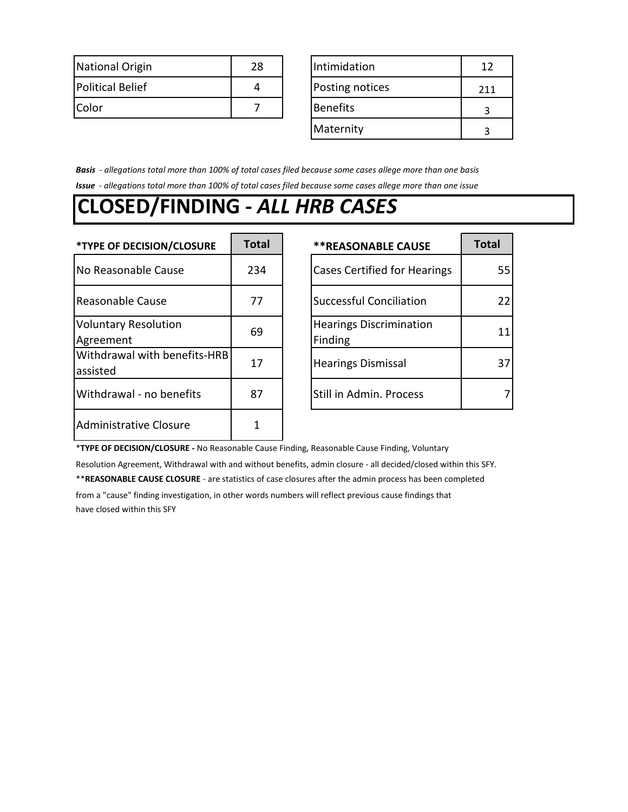| National Origin         | 28 | Intimidation    |     |
|-------------------------|----|-----------------|-----|
| <b>Political Belief</b> | Δ  | Posting notices | 711 |
| Color                   |    | <b>Benefits</b> |     |

| Intimidation    | 12  |
|-----------------|-----|
| Posting notices | 211 |
| <b>Benefits</b> |     |
| Maternity       |     |

*Basis - allegations total more than 100% of total cases filed because some cases allege more than one basis Issue - allegations total more than 100% of total cases filed because some cases allege more than one issue*

#### **CLOSED/FINDING -** *ALL HRB CASES*

| *TYPE OF DECISION/CLOSURE                | <b>Total</b> | <b>**REASONABLE CAUSE</b>                 | <b>Total</b> |
|------------------------------------------|--------------|-------------------------------------------|--------------|
| No Reasonable Cause                      | 234          | <b>Cases Certified for Hearings</b>       | 55           |
| Reasonable Cause                         | 77           | <b>Successful Conciliation</b>            | 22           |
| <b>Voluntary Resolution</b><br>Agreement | 69           | <b>Hearings Discrimination</b><br>Finding | 11           |
| Withdrawal with benefits-HRB<br>assisted | 17           | <b>Hearings Dismissal</b>                 | 37           |
| Withdrawal - no benefits                 | 87           | Still in Admin. Process                   | 7            |
| <b>Administrative Closure</b>            |              |                                           |              |

| <b>**REASONABLE CAUSE</b>                 | <b>Total</b> |
|-------------------------------------------|--------------|
| <b>Cases Certified for Hearings</b>       | 55           |
| <b>Successful Conciliation</b>            | 22           |
| <b>Hearings Discrimination</b><br>Finding | 11           |
| <b>Hearings Dismissal</b>                 | 3.           |
| Still in Admin. Process                   |              |

\***TYPE OF DECISION/CLOSURE -** No Reasonable Cause Finding, Reasonable Cause Finding, Voluntary

Resolution Agreement, Withdrawal with and without benefits, admin closure - all decided/closed within this SFY. \*\***REASONABLE CAUSE CLOSURE** - are statistics of case closures after the admin process has been completed from a "cause" finding investigation, in other words numbers will reflect previous cause findings that have closed within this SFY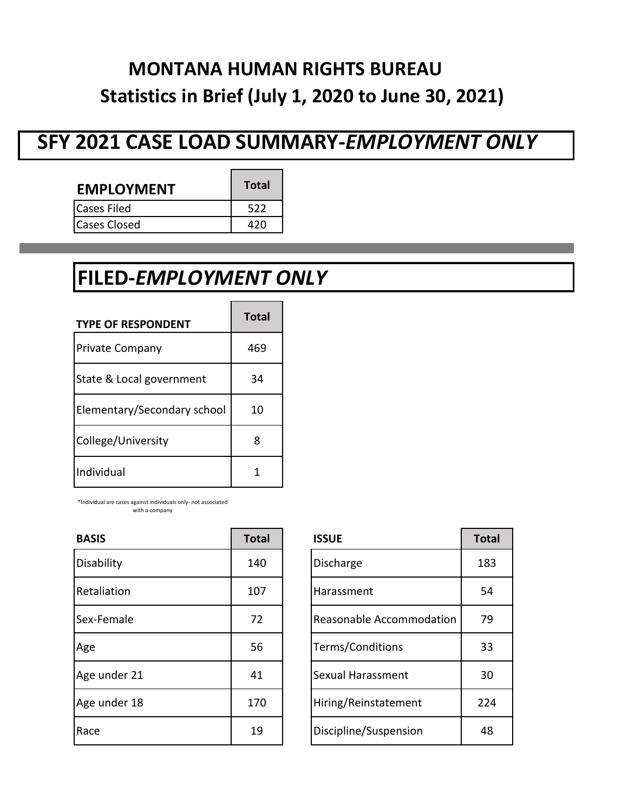## **MONTANA HUMAN RIGHTS BUREAU Statistics in Brief (July 1, 2020 to June 30, 2021)**

#### **SFY 2021 CASE LOAD SUMMARY-***EMPLOYMENT ONLY*

| <b>EMPLOYMENT</b> | <b>Total</b> |
|-------------------|--------------|
| lCases Filed      | 522          |
| lCases Closed     |              |

# **FILED-***EMPLOYMENT ONLY*

| <b>TYPE OF RESPONDENT</b>   | <b>Total</b> |
|-----------------------------|--------------|
| <b>Private Company</b>      | 469          |
| State & Local government    | 34           |
| Elementary/Secondary school | 10           |
| College/University          |              |
| Individual                  |              |

\*Individual are cases against individuals only- not associated with a company

| <b>BASIS</b> | <b>Total</b> | <b>ISSUE</b>             | <b>Total</b> |
|--------------|--------------|--------------------------|--------------|
| Disability   | 140          | Discharge                | 183          |
| Retaliation  | 107          | Harassment               | 54           |
| Sex-Female   | 72           | Reasonable Accommodation | 79           |
| Age          | 56           | Terms/Conditions         | 33           |
| Age under 21 | 41           | Sexual Harassment        | 30           |
| Age under 18 | 170          | Hiring/Reinstatement     | 224          |
| Race         | 19           | Discipline/Suspension    | 48           |

| <b>ISSUE</b>             | <b>Total</b> |
|--------------------------|--------------|
| Discharge                | 183          |
| Harassment               | 54           |
| Reasonable Accommodation | 79           |
| Terms/Conditions         | 33           |
| Sexual Harassment        | 30           |
| Hiring/Reinstatement     | 224          |
| Discipline/Suspension    | 48           |